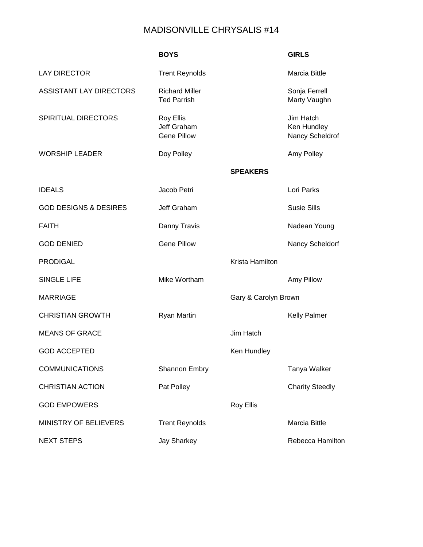## MADISONVILLE CHRYSALIS #14

|                                  | <b>BOYS</b>                                                  |                      | <b>GIRLS</b>                                |
|----------------------------------|--------------------------------------------------------------|----------------------|---------------------------------------------|
| <b>LAY DIRECTOR</b>              | <b>Trent Reynolds</b>                                        |                      | Marcia Bittle                               |
| <b>ASSISTANT LAY DIRECTORS</b>   | <b>Richard Miller</b><br><b>Ted Parrish</b>                  |                      | Sonja Ferrell<br>Marty Vaughn               |
| <b>SPIRITUAL DIRECTORS</b>       | <b>Roy Ellis</b><br><b>Jeff Graham</b><br><b>Gene Pillow</b> |                      | Jim Hatch<br>Ken Hundley<br>Nancy Scheldrof |
| <b>WORSHIP LEADER</b>            | Doy Polley                                                   |                      | Amy Polley                                  |
|                                  |                                                              | <b>SPEAKERS</b>      |                                             |
| <b>IDEALS</b>                    | Jacob Petri                                                  |                      | Lori Parks                                  |
| <b>GOD DESIGNS &amp; DESIRES</b> | Jeff Graham                                                  |                      | <b>Susie Sills</b>                          |
| <b>FAITH</b>                     | Danny Travis                                                 |                      | Nadean Young                                |
| <b>GOD DENIED</b>                | <b>Gene Pillow</b>                                           |                      | Nancy Scheldorf                             |
| <b>PRODIGAL</b>                  |                                                              | Krista Hamilton      |                                             |
| <b>SINGLE LIFE</b>               | Mike Wortham                                                 |                      | Amy Pillow                                  |
| <b>MARRIAGE</b>                  |                                                              | Gary & Carolyn Brown |                                             |
| <b>CHRISTIAN GROWTH</b>          | <b>Ryan Martin</b>                                           |                      | <b>Kelly Palmer</b>                         |
| <b>MEANS OF GRACE</b>            |                                                              | Jim Hatch            |                                             |
| <b>GOD ACCEPTED</b>              |                                                              | Ken Hundley          |                                             |
| <b>COMMUNICATIONS</b>            | <b>Shannon Embry</b>                                         |                      | Tanya Walker                                |
| <b>CHRISTIAN ACTION</b>          | Pat Polley                                                   |                      | <b>Charity Steedly</b>                      |
| <b>GOD EMPOWERS</b>              |                                                              | <b>Roy Ellis</b>     |                                             |
| <b>MINISTRY OF BELIEVERS</b>     | <b>Trent Reynolds</b>                                        |                      | Marcia Bittle                               |
| <b>NEXT STEPS</b>                | <b>Jay Sharkey</b>                                           |                      | Rebecca Hamilton                            |